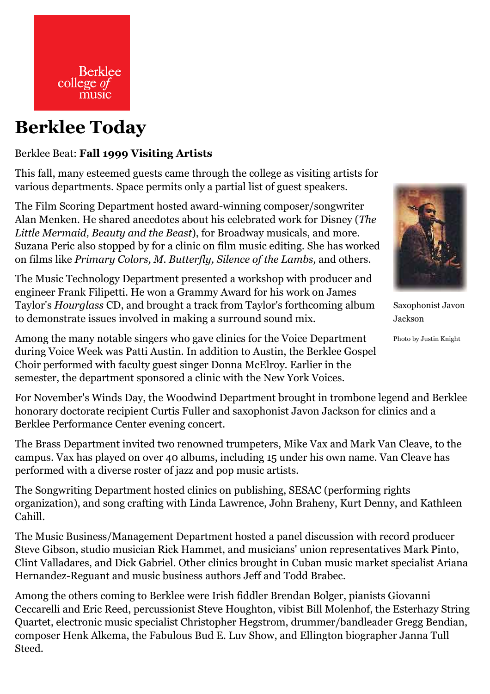

## **Berklee Today**

## Berklee Beat: **Fall 1999 Visiting Artists**

This fall, many esteemed guests came through the college as visiting artists for various departments. Space permits only a partial list of guest speakers.

The Film Scoring Department hosted award-winning composer/songwriter Alan Menken. He shared anecdotes about his celebrated work for Disney ( *The* Little Mermaid, Beauty and the Beast), for Broadway musicals, and more. Suzana Peric also stopped by for a clinic on film music editing. She has worked on films like *Primary Colors, M. Butterfly, Silence of the Lambs,* and others.

The Music Technology Department presented a workshop with producer and engineer Frank Filipetti. He won a Grammy Award for his work on James Taylor's *Hourglass* CD, and brought a track from Taylor's forthcoming album to demonstrate issues involved in making a surround sound mix.



Saxophonist Javon Jackson

Photo by Justin Knight

Among the many notable singers who gave clinics for the Voice Department during Voice Week was Patti Austin. In addition to Austin, the Berklee Gospel Choir performed with faculty guest singer Donna McElroy. Earlier in the semester, the department sponsored a clinic with the New York Voices.

For November's Winds Day, the Woodwind Department brought in trombone legend and Berklee honorary doctorate recipient Curtis Fuller and saxophonist Javon Jackson for clinics and a Berklee Performance Center evening concert.

The Brass Department invited two renowned trumpeters, Mike Vax and Mark Van Cleave, to the campus. Vax has played on over 40 albums, including 15 under his own name. Van Cleave has performed with a diverse roster of jazz and pop music artists.

The Songwriting Department hosted clinics on publishing, SESAC (performing rights organization), and song crafting with Linda Lawrence, John Braheny, Kurt Denny, and Kathleen Cahill.

The Music Business/Management Department hosted a panel discussion with record producer Steve Gibson, studio musician Rick Hammet, and musicians' union representatives Mark Pinto, Clint Valladares, and Dick Gabriel. Other clinics brought in Cuban music market specialist Ariana Hernandez-Reguant and music business authors Jeff and Todd Brabec.

Among the others coming to Berklee were Irish fiddler Brendan Bolger, pianists Giovanni Ceccarelli and Eric Reed, percussionist Steve Houghton, vibist Bill Molenhof, the Esterhazy String Quartet, electronic music specialist Christopher Hegstrom, drummer/bandleader Gregg Bendian, composer Henk Alkema, the Fabulous Bud E. Luv Show, and Ellington biographer Janna Tull Steed.